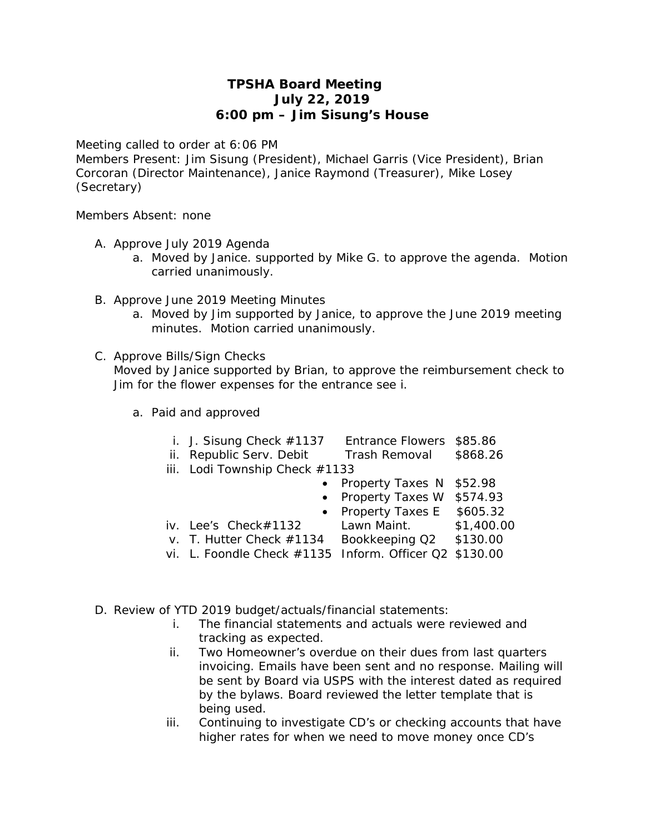## **TPSHA Board Meeting July 22, 2019 6:00 pm – Jim Sisung's House**

Meeting called to order at 6:06 PM

Members Present: Jim Sisung (President), Michael Garris (Vice President), Brian Corcoran (Director Maintenance), Janice Raymond (Treasurer), Mike Losey (Secretary)

Members Absent: none

- A. Approve July 2019 Agenda
	- a. Moved by Janice. supported by Mike G. to approve the agenda. Motion carried unanimously.
- B. Approve June 2019 Meeting Minutes
	- a. Moved by Jim supported by Janice, to approve the June 2019 meeting minutes. Motion carried unanimously.
- C. Approve Bills/Sign Checks

Moved by Janice supported by Brian, to approve the reimbursement check to Jim for the flower expenses for the entrance *see i*.

a. Paid and approved

| i. J. Sisung Check $#1137$                      | Entrance Flowers \$85.86                     |  |
|-------------------------------------------------|----------------------------------------------|--|
| ii. Republic Serv. Debit Trash Removal \$868.26 |                                              |  |
| iii. Lodi Township Check $#1133$                |                                              |  |
|                                                 | • Property Taxes N \$52.98                   |  |
|                                                 | $\sim$ Draparty Tayes W $\sigma$ $\Gamma$ 02 |  |

- Property Taxes W \$574.93
- Property Taxes E \$605.32
- iv. Lee's Check#1132 Lawn Maint. \$1,400.00
- v. T. Hutter Check #1134 Bookkeeping Q2 \$130.00
- vi. L. Foondle Check #1135 Inform. Officer Q2 \$130.00
- D. Review of YTD 2019 budget/actuals/financial statements:
	- i. The financial statements and actuals were reviewed and tracking as expected.
	- ii. Two Homeowner's overdue on their dues from last quarters invoicing. Emails have been sent and no response. Mailing will be sent by Board via USPS with the interest dated as required by the bylaws. Board reviewed the letter template that is being used.
	- iii. Continuing to investigate CD's or checking accounts that have higher rates for when we need to move money once CD's